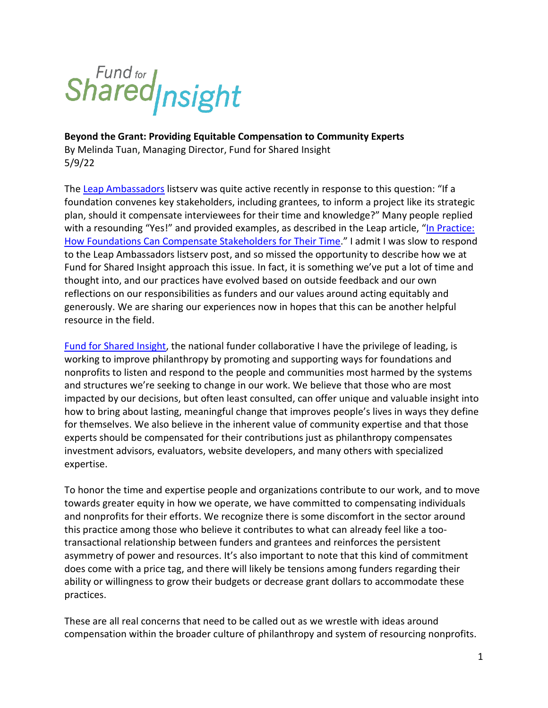# Shared<sub>Insight</sub>

**Beyond the Grant: Providing Equitable Compensation to Community Experts** By Melinda Tuan, Managing Director, Fund for Shared Insight 5/9/22

The [Leap Ambassadors](https://www.leapambassadors.org/) listserv was quite active recently in response to this question: "If a foundation convenes key stakeholders, including grantees, to inform a project like its strategic plan, should it compensate interviewees for their time and knowledge?" Many people replied with a resounding "Yes!" and provided examples, as described in the Leap article, "In Practice: [How Foundations Can Compensate Stakeholders for Their Time](https://www.leapambassadors.org/ambassador-insights/in-practice-how-foundations-can-compensate-stakeholders-for-their-time/)." I admit I was slow to respond to the Leap Ambassadors listserv post, and so missed the opportunity to describe how we at Fund for Shared Insight approach this issue. In fact, it is something we've put a lot of time and thought into, and our practices have evolved based on outside feedback and our own reflections on our responsibilities as funders and our values around acting equitably and generously. We are sharing our experiences now in hopes that this can be another helpful resource in the field.

[Fund for Shared Insight,](http://www.fundforsharedinsight.org/) the national funder collaborative I have the privilege of leading, is working to improve philanthropy by promoting and supporting ways for foundations and nonprofits to listen and respond to the people and communities most harmed by the systems and structures we're seeking to change in our work. We believe that those who are most impacted by our decisions, but often least consulted, can offer unique and valuable insight into how to bring about lasting, meaningful change that improves people's lives in ways they define for themselves. We also believe in the inherent value of community expertise and that those experts should be compensated for their contributions just as philanthropy compensates investment advisors, evaluators, website developers, and many others with specialized expertise.

To honor the time and expertise people and organizations contribute to our work, and to move towards greater equity in how we operate, we have committed to compensating individuals and nonprofits for their efforts. We recognize there is some discomfort in the sector around this practice among those who believe it contributes to what can already feel like a tootransactional relationship between funders and grantees and reinforces the persistent asymmetry of power and resources. It's also important to note that this kind of commitment does come with a price tag, and there will likely be tensions among funders regarding their ability or willingness to grow their budgets or decrease grant dollars to accommodate these practices.

These are all real concerns that need to be called out as we wrestle with ideas around compensation within the broader culture of philanthropy and system of resourcing nonprofits.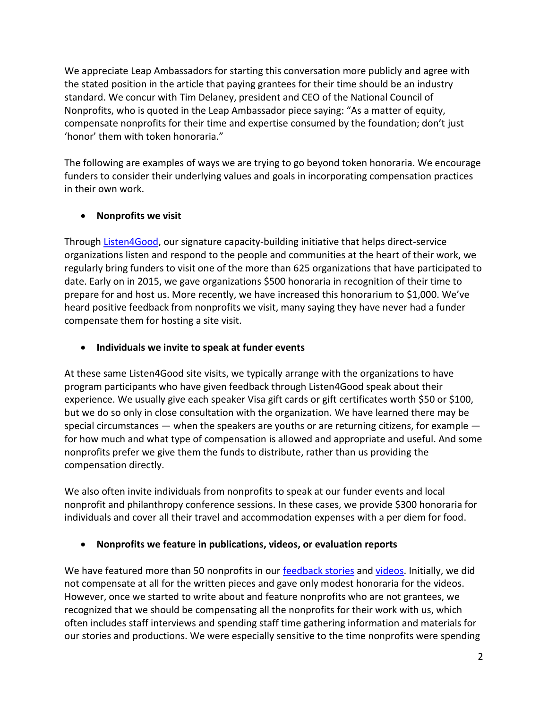We appreciate Leap Ambassadors for starting this conversation more publicly and agree with the stated position in the article that paying grantees for their time should be an industry standard. We concur with Tim Delaney, president and CEO of the National Council of Nonprofits, who is quoted in the Leap Ambassador piece saying: "As a matter of equity, compensate nonprofits for their time and expertise consumed by the foundation; don't just 'honor' them with token honoraria."

The following are examples of ways we are trying to go beyond token honoraria. We encourage funders to consider their underlying values and goals in incorporating compensation practices in their own work.

# • **Nonprofits we visit**

Through [Listen4Good,](http://www.listen4good.org/) our signature capacity-building initiative that helps direct-service organizations listen and respond to the people and communities at the heart of their work, we regularly bring funders to visit one of the more than 625 organizations that have participated to date. Early on in 2015, we gave organizations \$500 honoraria in recognition of their time to prepare for and host us. More recently, we have increased this honorarium to \$1,000. We've heard positive feedback from nonprofits we visit, many saying they have never had a funder compensate them for hosting a site visit.

# • **Individuals we invite to speak at funder events**

At these same Listen4Good site visits, we typically arrange with the organizations to have program participants who have given feedback through Listen4Good speak about their experience. We usually give each speaker Visa gift cards or gift certificates worth \$50 or \$100, but we do so only in close consultation with the organization. We have learned there may be special circumstances  $-$  when the speakers are youths or are returning citizens, for example  $$ for how much and what type of compensation is allowed and appropriate and useful. And some nonprofits prefer we give them the funds to distribute, rather than us providing the compensation directly.

We also often invite individuals from nonprofits to speak at our funder events and local nonprofit and philanthropy conference sessions. In these cases, we provide \$300 honoraria for individuals and cover all their travel and accommodation expenses with a per diem for food.

### • **Nonprofits we feature in publications, videos, or evaluation reports**

We have featured more than 50 nonprofits in our [feedback stories](https://fundforsharedinsight.org/learn-more/feedback-stories/) an[d videos.](https://fundforsharedinsight.org/learn-more/video-gallery/) Initially, we did not compensate at all for the written pieces and gave only modest honoraria for the videos. However, once we started to write about and feature nonprofits who are not grantees, we recognized that we should be compensating all the nonprofits for their work with us, which often includes staff interviews and spending staff time gathering information and materials for our stories and productions. We were especially sensitive to the time nonprofits were spending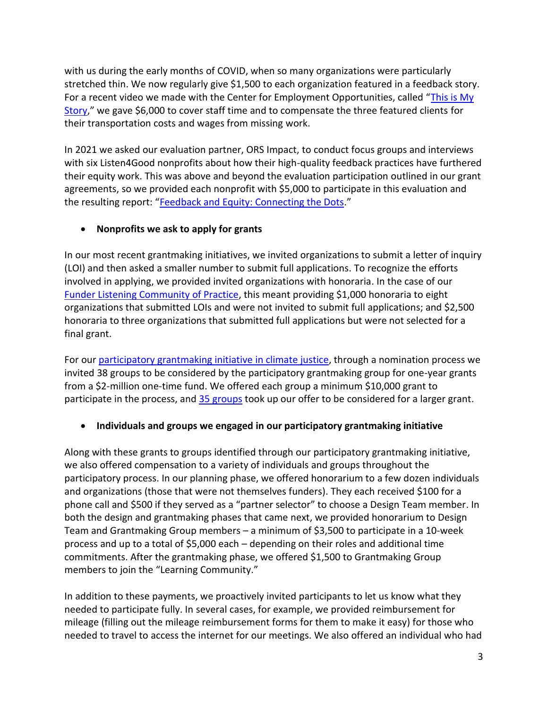with us during the early months of COVID, when so many organizations were particularly stretched thin. We now regularly give \$1,500 to each organization featured in a feedback story. For a recent video we made with the Center for Employment Opportunities, called "[This is My](https://fundforsharedinsight.org/learn-more/video-gallery/?v=This%20is%20My%20Story%20(Captioned))  [Story](https://fundforsharedinsight.org/learn-more/video-gallery/?v=This%20is%20My%20Story%20(Captioned))," we gave \$6,000 to cover staff time and to compensate the three featured clients for their transportation costs and wages from missing work.

In 2021 we asked our evaluation partner, ORS Impact, to conduct focus groups and interviews with six Listen4Good nonprofits about how their high-quality feedback practices have furthered their equity work. This was above and beyond the evaluation participation outlined in our grant agreements, so we provided each nonprofit with \$5,000 to participate in this evaluation and the resulting report: "[Feedback and Equity: Connecting the Dots](chrome-extension://efaidnbmnnnibpcajpcglclefindmkaj/https:/fundforsharedinsight.org/wp-content/uploads/2021/11/Feedback-and-Equity-Connecting-the-Dots-ORS-Impact-October-2021.pdf)."

# • **Nonprofits we ask to apply for grants**

In our most recent grantmaking initiatives, we invited organizations to submit a letter of inquiry (LOI) and then asked a smaller number to submit full applications. To recognize the efforts involved in applying, we provided invited organizations with honoraria. In the case of our [Funder Listening Community of Practice,](https://fundforsharedinsight.org/what-we-do/funder-listening/) this meant providing \$1,000 honoraria to eight organizations that submitted LOIs and were not invited to submit full applications; and \$2,500 honoraria to three organizations that submitted full applications but were not selected for a final grant.

For our [participatory grantmaking initiative](https://fundforsharedinsight.org/what-we-do/participatory-grantmaking/) in climate justice, through a nomination process we invited 38 groups to be considered by the participatory grantmaking group for one-year grants from a \$2-million one-time fund. We offered each group a minimum \$10,000 grant to participate in the process, and [35 groups](https://fundforsharedinsight.org/what-we-do/participatory-grantmaking/participatory-grantmaking-grantees/) took up our offer to be considered for a larger grant.

# • **Individuals and groups we engaged in our participatory grantmaking initiative**

Along with these grants to groups identified through our participatory grantmaking initiative, we also offered compensation to a variety of individuals and groups throughout the participatory process. In our planning phase, we offered honorarium to a few dozen individuals and organizations (those that were not themselves funders). They each received \$100 for a phone call and \$500 if they served as a "partner selector" to choose a Design Team member. In both the design and grantmaking phases that came next, we provided honorarium to Design Team and Grantmaking Group members – a minimum of \$3,500 to participate in a 10-week process and up to a total of \$5,000 each – depending on their roles and additional time commitments. After the grantmaking phase, we offered \$1,500 to Grantmaking Group members to join the "Learning Community."

In addition to these payments, we proactively invited participants to let us know what they needed to participate fully. In several cases, for example, we provided reimbursement for mileage (filling out the mileage reimbursement forms for them to make it easy) for those who needed to travel to access the internet for our meetings. We also offered an individual who had